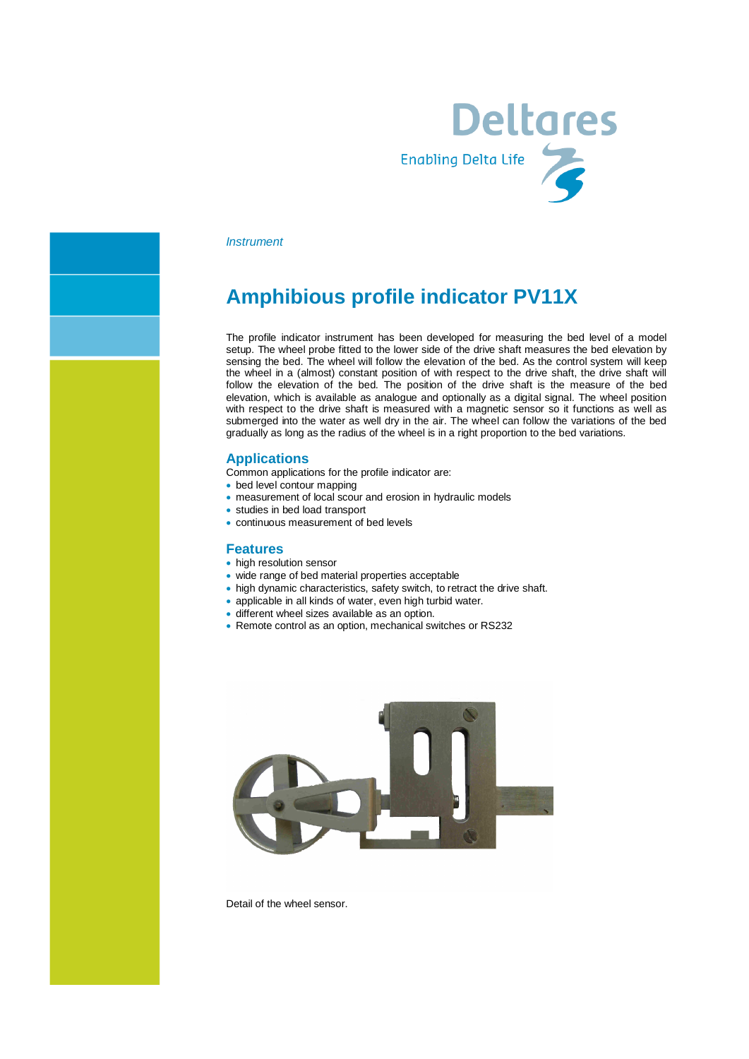

#### *Instrument*

## **Amphibious profile indicator PV11X**

The profile indicator instrument has been developed for measuring the bed level of a model setup. The wheel probe fitted to the lower side of the drive shaft measures the bed elevation by sensing the bed. The wheel will follow the elevation of the bed. As the control system will keep the wheel in a (almost) constant position of with respect to the drive shaft, the drive shaft will follow the elevation of the bed. The position of the drive shaft is the measure of the bed elevation, which is available as analogue and optionally as a digital signal. The wheel position with respect to the drive shaft is measured with a magnetic sensor so it functions as well as submerged into the water as well dry in the air. The wheel can follow the variations of the bed gradually as long as the radius of the wheel is in a right proportion to the bed variations.

#### **Applications**

Common applications for the profile indicator are:

- bed level contour mapping
- · measurement of local scour and erosion in hydraulic models
- · studies in bed load transport
- · continuous measurement of bed levels

#### **Features**

- high resolution sensor
- wide range of bed material properties acceptable
- · high dynamic characteristics, safety switch, to retract the drive shaft.
- · applicable in all kinds of water, even high turbid water.
- · different wheel sizes available as an option.
- · Remote control as an option, mechanical switches or RS232



Detail of the wheel sensor.